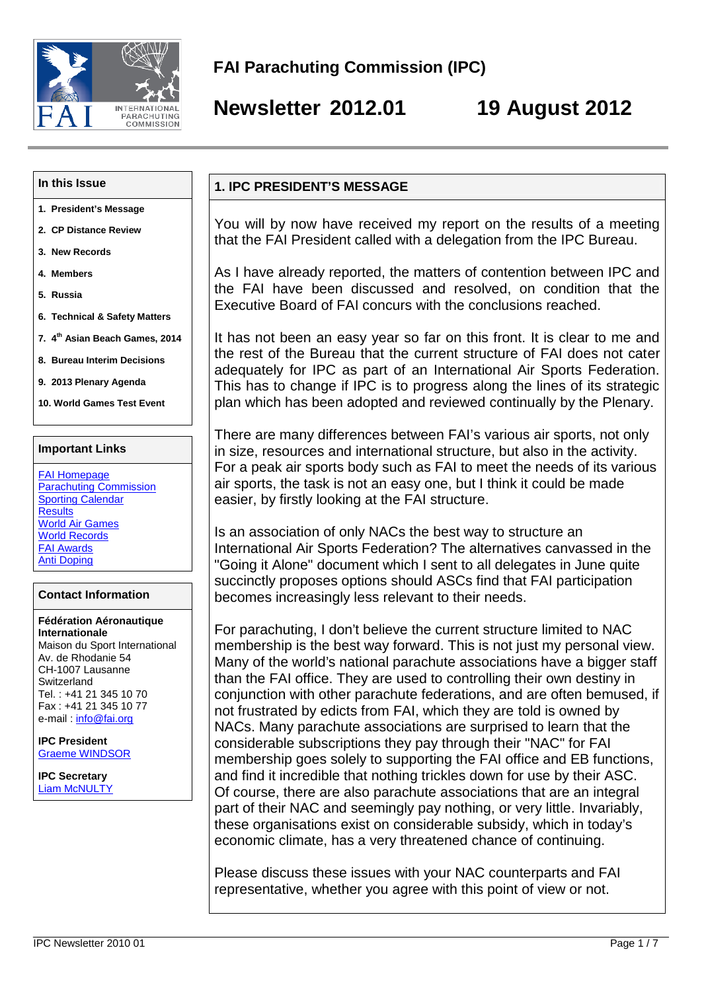Newsletter 2012.01 19 August 2012

#### In this Issue

- 1. President€s Message
- 2. CP Distance Review
- 3. New Records
- 4. Members
- 5. Russia
- 6. Technical & Safety Matters
- 7. 4<sup>th</sup> Asian Beach Games, 2 014
- 8. Bureau Interim Decisions
- 9. 2013 Plenary Agenda
- 10. World Games Test Event

#### Important Links

FAI Homepage Parachuting Commission **Sporting Calendar Results** World Air Games World Records FAI Awards Anti Doping

#### Contact Information

F•d•ration A•ronautique Internationale Maison du Sport International Av. de Rhodanie 54 CH-1007 Lausanne Switzerland Tel. : +41 21 345 10 70 Fax : +41 21 345 10 77 e-mail : [info@fai.org](mailto:info@fai.org)

IPC President Graeme WINDSOR

IPC Secretary Liam McNULTY

#### 1. IPC PRESIDENT€S MESSAGE

You will by now have received my report on the results of a meeting that the FAI President called with a delegation from the IPC Bureau.

As I have already reported, the matters of contention between IPC and the FAI have been discussed and resolved, on condition that the Executive Board of FAI concurs with the conclusions reached.

It has not been an easy year so far on this front. It is clear to me and the rest of the Bureau that the current structure of FAI does not cater adequately for IPC as part of an International Air Sports Federation. This has to change if IPC is to progress along the lines of its strategic plan which has been adopted and reviewed continually by the Plenary.

There are many differences between FAI€ various air sports, not only in size, resources and international structure, but also in the activity. For a peak air sports body such as FAI to meet the needs of its various air sports, the task is not an easy one, but I think it could be made easier, by firstly looking at the FAI structure.

Is an association of only NACs the best way to structure an International Air Sports Federation? The alternatives canvassed in the "Going it Alone" document which I sent to all delegates in June quite succinctly proposes options should ASCs find that FAI participation becomes increasingly less relevant to their needs.

For parachuting, I don't believe the current structure limited to NAC membership is the best way forward. This is not just my personal view. Many of the world's national parachute associations have a bigger staff than the FAI office. They are used to controlling their own destiny in conjunction with other parachute federations, and are often bemused, if not frustrated by edicts from FAI, which they are told is owned by NACs. Many parachute associations are surprised to learn that the considerable subscriptions they pay through their "NAC" for FAI membership goes solely to supporting the FAI office and EB functions, and find it incredible that nothing trickles down for use by their ASC. Of course, there are also parachute associations that are an integral part of their NAC and seemingly pay nothing, or very little. Invariably, these organisations exist on considerable subsidy, which in today€s economic climate, has a very threatened chance of continuing.

Please discuss these issues with your NAC counterparts and FAI representative, whether you agree with this point of view or not.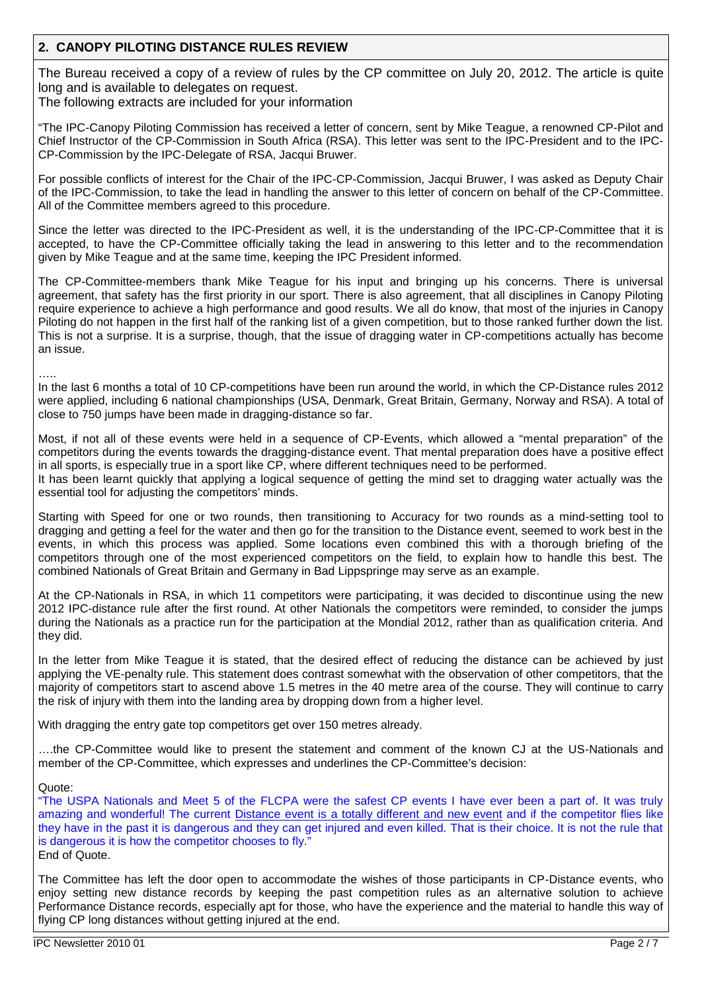# **2. CANOPY PILOTING DISTANCE RULES REVIEW**

The Bureau received a copy of a review of rules by the CP committee on July 20, 2012. The article is quite long and is available to delegates on request.

The following extracts are included for your information

"The IPC-Canopy Piloting Commission has received a letter of concern, sent by Mike Teague, a renowned CP-Pilot and Chief Instructor of the CP-Commission in South Africa (RSA). This letter was sent to the IPC-President and to the IPC-CP-Commission by the IPC-Delegate of RSA, Jacqui Bruwer.

For possible conflicts of interest for the Chair of the IPC-CP-Commission, Jacqui Bruwer, I was asked as Deputy Chair of the IPC-Commission, to take the lead in handling the answer to this letter of concern on behalf of the CP-Committee. All of the Committee members agreed to this procedure.

Since the letter was directed to the IPC-President as well, it is the understanding of the IPC-CP-Committee that it is accepted, to have the CP-Committee officially taking the lead in answering to this letter and to the recommendation given by Mike Teague and at the same time, keeping the IPC President informed.

The CP-Committee-members thank Mike Teague for his input and bringing up his concerns. There is universal agreement, that safety has the first priority in our sport. There is also agreement, that all disciplines in Canopy Piloting require experience to achieve a high performance and good results. We all do know, that most of the injuries in Canopy Piloting do not happen in the first half of the ranking list of a given competition, but to those ranked further down the list. This is not a surprise. It is a surprise, though, that the issue of dragging water in CP-competitions actually has become an issue.

…..

In the last 6 months a total of 10 CP-competitions have been run around the world, in which the CP-Distance rules 2012 were applied, including 6 national championships (USA, Denmark, Great Britain, Germany, Norway and RSA). A total of close to 750 jumps have been made in dragging-distance so far.

Most, if not all of these events were held in a sequence of CP-Events, which allowed a "mental preparation" of the competitors during the events towards the dragging-distance event. That mental preparation does have a positive effect in all sports, is especially true in a sport like CP, where different techniques need to be performed.

It has been learnt quickly that applying a logical sequence of getting the mind set to dragging water actually was the essential tool for adjusting the competitors' minds.

Starting with Speed for one or two rounds, then transitioning to Accuracy for two rounds as a mind-setting tool to dragging and getting a feel for the water and then go for the transition to the Distance event, seemed to work best in the events, in which this process was applied. Some locations even combined this with a thorough briefing of the competitors through one of the most experienced competitors on the field, to explain how to handle this best. The combined Nationals of Great Britain and Germany in Bad Lippspringe may serve as an example.

At the CP-Nationals in RSA, in which 11 competitors were participating, it was decided to discontinue using the new 2012 IPC-distance rule after the first round. At other Nationals the competitors were reminded, to consider the jumps during the Nationals as a practice run for the participation at the Mondial 2012, rather than as qualification criteria. And they did.

In the letter from Mike Teague it is stated, that the desired effect of reducing the distance can be achieved by just applying the VE-penalty rule. This statement does contrast somewhat with the observation of other competitors, that the majority of competitors start to ascend above 1.5 metres in the 40 metre area of the course. They will continue to carry the risk of injury with them into the landing area by dropping down from a higher level.

With dragging the entry gate top competitors get over 150 metres already.

….the CP-Committee would like to present the statement and comment of the known CJ at the US-Nationals and member of the CP-Committee, which expresses and underlines the CP-Committee's decision:

Quote:

"The USPA Nationals and Meet 5 of the FLCPA were the safest CP events I have ever been a part of. It was truly amazing and wonderful! The current Distance event is a totally different and new event and if the competitor flies like they have in the past it is dangerous and they can get injured and even killed. That is their choice. It is not the rule that is dangerous it is how the competitor chooses to fly." End of Quote.

The Committee has left the door open to accommodate the wishes of those participants in CP-Distance events, who enjoy setting new distance records by keeping the past competition rules as an alternative solution to achieve Performance Distance records, especially apt for those, who have the experience and the material to handle this way of flying CP long distances without getting injured at the end.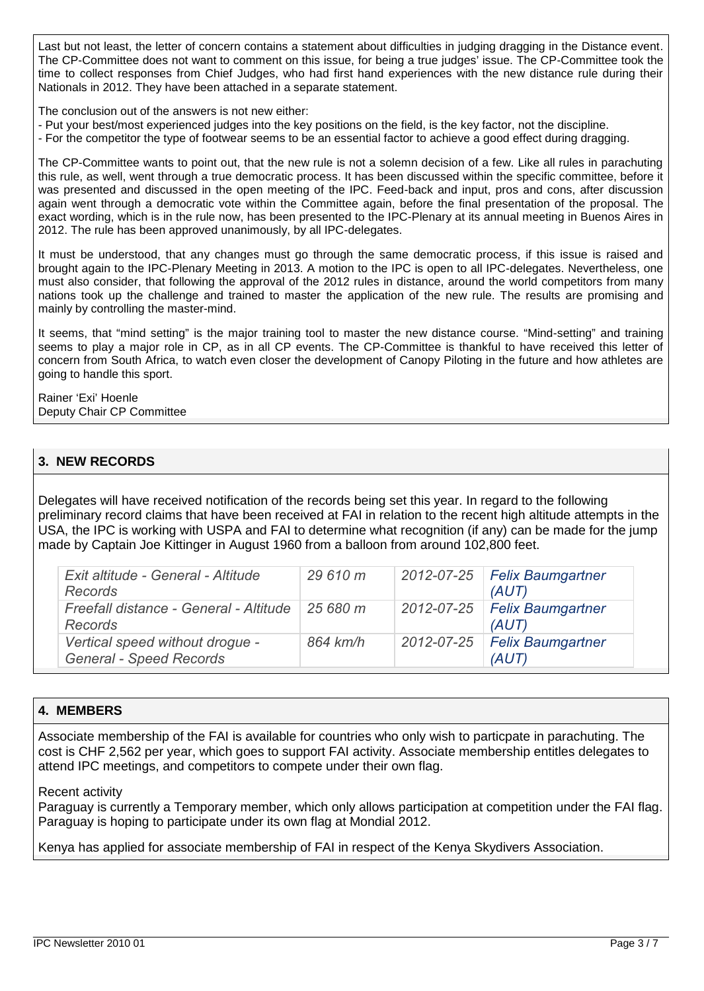Last but not least, the letter of concern contains a statement about difficulties in judging dragging in the Distance event. The CP-Committee does not want to comment on this issue, for being a true judges' issue. The CP-Committee took the time to collect responses from Chief Judges, who had first hand experiences with the new distance rule during their Nationals in 2012. They have been attached in a separate statement.

The conclusion out of the answers is not new either:

- Put your best/most experienced judges into the key positions on the field, is the key factor, not the discipline.
- For the competitor the type of footwear seems to be an essential factor to achieve a good effect during dragging.

The CP-Committee wants to point out, that the new rule is not a solemn decision of a few. Like all rules in parachuting this rule, as well, went through a true democratic process. It has been discussed within the specific committee, before it was presented and discussed in the open meeting of the IPC. Feed-back and input, pros and cons, after discussion again went through a democratic vote within the Committee again, before the final presentation of the proposal. The exact wording, which is in the rule now, has been presented to the IPC-Plenary at its annual meeting in Buenos Aires in 2012. The rule has been approved unanimously, by all IPC-delegates.

It must be understood, that any changes must go through the same democratic process, if this issue is raised and brought again to the IPC-Plenary Meeting in 2013. A motion to the IPC is open to all IPC-delegates. Nevertheless, one must also consider, that following the approval of the 2012 rules in distance, around the world competitors from many nations took up the challenge and trained to master the application of the new rule. The results are promising and mainly by controlling the master-mind.

It seems, that "mind setting" is the major training tool to master the new distance course. "Mind-setting" and training seems to play a major role in CP, as in all CP events. The CP-Committee is thankful to have received this letter of concern from South Africa, to watch even closer the development of Canopy Piloting in the future and how athletes are going to handle this sport.

Rainer 'Exi' Hoenle Deputy Chair CP Committee

# **3. NEW RECORDS**

Delegates will have received notification of the records being set this year. In regard to the following preliminary record claims that have been received at FAI in relation to the recent high altitude attempts in the USA, the IPC is working with USPA and FAI to determine what recognition (if any) can be made for the jump made by Captain Joe Kittinger in August 1960 from a balloon from around 102,800 feet.

| Exit altitude - General - Altitude<br>Records                     | 29 610 m | 2012-07-25   Felix Baumgartner<br>(AUT) |
|-------------------------------------------------------------------|----------|-----------------------------------------|
| Freefall distance - General - Altitude<br><b>Records</b>          | 25680 m  | 2012-07-25 Felix Baumgartner<br>(AUT)   |
| Vertical speed without drogue -<br><b>General - Speed Records</b> | 864 km/h | 2012-07-25 Felix Baumgartner<br>(AUT)   |

## **4. MEMBERS**

Associate membership of the FAI is available for countries who only wish to particpate in parachuting. The cost is CHF 2,562 per year, which goes to support FAI activity. Associate membership entitles delegates to attend IPC meetings, and competitors to compete under their own flag.

Recent activity

Paraguay is currently a Temporary member, which only allows participation at competition under the FAI flag. Paraguay is hoping to participate under its own flag at Mondial 2012.

Kenya has applied for associate membership of FAI in respect of the Kenya Skydivers Association.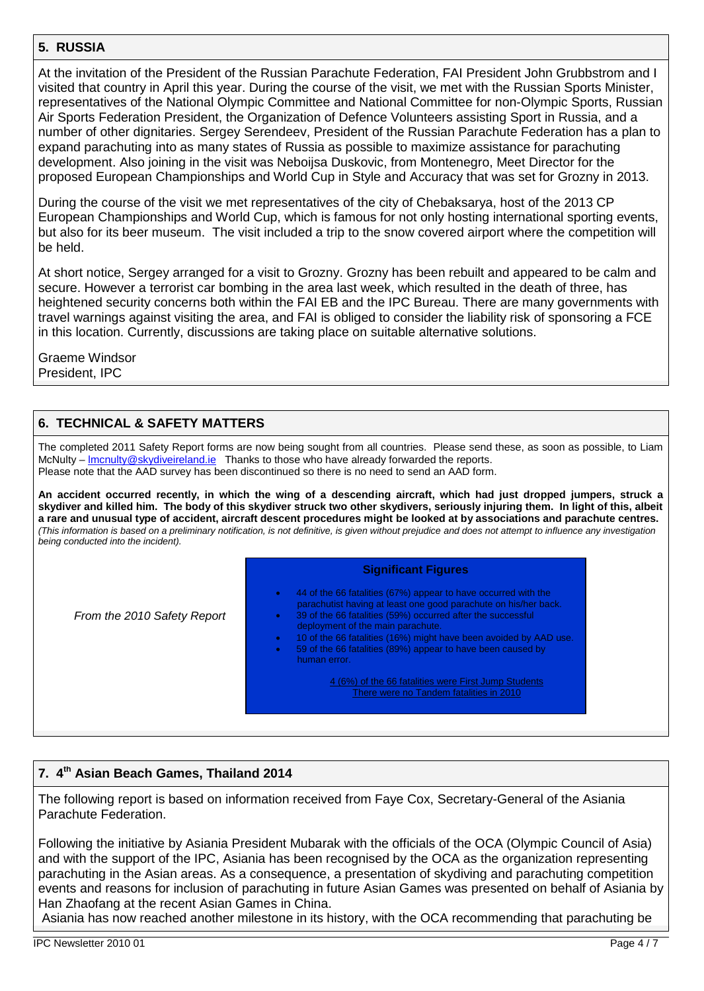## 5. RUSSIA

At the invitation of the President of the Russian Parachute Federation, FAI President John Grubbstrom and I visited that country in April this year. During the course of the visit, we met with the Russian Sports Minister, representatives of the National Olympic Committee and National Committee for non-Olympic Sports, Russian Air Sports Federation President, the Organization of Defence Volunteers assisting Sport in Russia, and a number of other dignitaries. Sergey Serendeev, President of the Russian Parachute Federation has a plan to expand parachuting into as many states of Russia as possible to maximize assistance for parachuting development. Also joining in the visit was Neboijsa Duskovic, from Montenegro, Meet Director for the proposed European Championships and World Cup in Style and Accuracy that was set for Grozny in 2013.

During the course of the visit we met representatives of the city of Chebaksarya, host of the 2013 CP European Championships and World Cup, which is famous for not only hosting international sporting events, but also for its beer museum. The visit included a trip to the snow covered airport where the competition will be held.

At short notice, Sergey arranged for a visit to Grozny. Grozny has been rebuilt and appeared to be calm and secure. However a terrorist car bombing in the area last week, which resulted in the death of three, has heightened security concerns both within the FAI EB and the IPC Bureau. There are many governments with travel warnings against visiting the area, and FAI is obliged to consider the liability risk of sponsoring a FCE in this location. Currently, discussions are taking place on suitable alternative solutions.

Graeme Windsor President, IPC

## 6. TECHNICAL & SAFETY MATTERS

The completed 2011 Safety Report forms are now being sought from all countries. Please send these, as soon as possible, to Liam McNulty ... Imcnulty@skydiveireland.ie Thanks to those who have already forwarded the reports. Please note that the AAD survey has been discontinued so there is no need to send an AAD form.

An accident occurred recently, in which the wing of a descend ing aircraft, which had just dropped jumpers, struck a skydiver and killed him. The body of this skydiver struck two other skydivers, seriously injuring them. In light of this, albeit a rare and unusual type of accident, aircraft descent procedures might be looked at by associations and parachute centres. (This information is based on a preliminary notification, is not definitive, is given without prejudice and does not attempt to influence any investigation being conducted into the incident).

From the 2010 Safety Report

#### Significant Figures

ð· 44 of the 66 fatalities (67%) appear to have occurred with the

parachutist having at least one good parachute on his/her back. ð· 39 of the 66 fatalities (59%) occurred after the successful deployment of the main parachute. ð· 10 of the 66 fatalities (16%) might have been avoided by AAD use. ð· 59 of the 66 fatalities (89%) appear to have been caused by human error. 4 (6%) of the 66 fatalities were First Jump Students There were no Tandem fatalities in 2010

## 7. 4<sup>th</sup> Asian Beach Games, Thailand 2014

The following report is based on information received from Faye Cox, Secretary-General of the Asiania Parachute Federation.

Following the initiative by Asiania President Mubarak with the officials of the OCA (Olympic Council of Asia) and with the support of the IPC, Asiania has been recognised by the OCA as the organization representing parachuting in the Asian areas. As a consequence, a presentation of skydiving and parachuting competition events and reasons for inclusion of parachuting in future Asian Games was presented on behalf of Asiania by Han Zhaofang at the recent Asian Games in China.

Asiania has now reached another milestone in its history, with the OCA recommending that parachuting be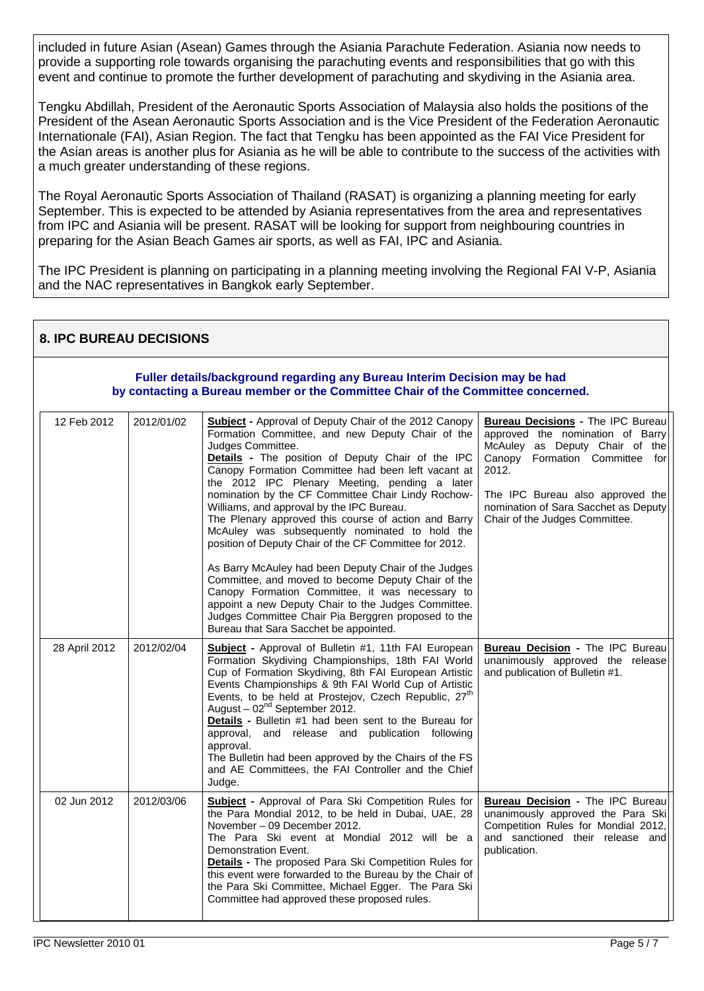included in future Asian (Asean) Games through the Asiania Parachute Federation. Asiania now needs to provide a supporting role towards organising the parachuting events and responsibilities that go with this event and continue to promote the further development of parachuting and skydiving in the Asiania area.

Tengku Abdillah, President of the Aeronautic Sports Association of Malaysia also holds the positions of the President of the Asean Aeronautic Sports Association and is the Vice President of the Federation Aeronautic Internationale (FAI), Asian Region. The fact that Tengku has been appointed as the FAI Vice President for the Asian areas is another plus for Asiania as he will be able to contribute to the success of the activities with a much greater understanding of these regions.

The Royal Aeronautic Sports Association of Thailand (RASAT) is organizing a planning meeting for early September. This is expected to be attended by Asiania representatives from the area and representatives from IPC and Asiania will be present. RASAT will be looking for support from neighbouring countries in preparing for the Asian Beach Games air sports, as well as FAI, IPC and Asiania.

The IPC President is planning on participating in a planning meeting involving the Regional FAI V-P, Asiania and the NAC representatives in Bangkok early September.

| <b>8. IPC BUREAU DECISIONS</b>                                                                                                                                 |               |            |                                                                                                                                                                                                                                                                                                                                                                                                                                                                                                                                                                                                                                                                                                                                                                                                                                                                                                   |                                                                                                                                                                                                                                                                         |  |  |  |
|----------------------------------------------------------------------------------------------------------------------------------------------------------------|---------------|------------|---------------------------------------------------------------------------------------------------------------------------------------------------------------------------------------------------------------------------------------------------------------------------------------------------------------------------------------------------------------------------------------------------------------------------------------------------------------------------------------------------------------------------------------------------------------------------------------------------------------------------------------------------------------------------------------------------------------------------------------------------------------------------------------------------------------------------------------------------------------------------------------------------|-------------------------------------------------------------------------------------------------------------------------------------------------------------------------------------------------------------------------------------------------------------------------|--|--|--|
| Fuller details/background regarding any Bureau Interim Decision may be had<br>by contacting a Bureau member or the Committee Chair of the Committee concerned. |               |            |                                                                                                                                                                                                                                                                                                                                                                                                                                                                                                                                                                                                                                                                                                                                                                                                                                                                                                   |                                                                                                                                                                                                                                                                         |  |  |  |
|                                                                                                                                                                | 12 Feb 2012   | 2012/01/02 | <b>Subject</b> - Approval of Deputy Chair of the 2012 Canopy<br>Formation Committee, and new Deputy Chair of the<br>Judges Committee.<br>Details - The position of Deputy Chair of the IPC<br>Canopy Formation Committee had been left vacant at<br>the 2012 IPC Plenary Meeting, pending a later<br>nomination by the CF Committee Chair Lindy Rochow-<br>Williams, and approval by the IPC Bureau.<br>The Plenary approved this course of action and Barry<br>McAuley was subsequently nominated to hold the<br>position of Deputy Chair of the CF Committee for 2012.<br>As Barry McAuley had been Deputy Chair of the Judges<br>Committee, and moved to become Deputy Chair of the<br>Canopy Formation Committee, it was necessary to<br>appoint a new Deputy Chair to the Judges Committee.<br>Judges Committee Chair Pia Berggren proposed to the<br>Bureau that Sara Sacchet be appointed. | <b>Bureau Decisions - The IPC Bureau</b><br>approved the nomination of Barry<br>McAuley as Deputy Chair of the<br>Canopy Formation Committee for<br>2012.<br>The IPC Bureau also approved the<br>nomination of Sara Sacchet as Deputy<br>Chair of the Judges Committee. |  |  |  |
|                                                                                                                                                                | 28 April 2012 | 2012/02/04 | Subject - Approval of Bulletin #1, 11th FAI European<br>Formation Skydiving Championships, 18th FAI World<br>Cup of Formation Skydiving, 8th FAI European Artistic<br>Events Championships & 9th FAI World Cup of Artistic<br>Events, to be held at Prostejov, Czech Republic, 27 <sup>th</sup><br>August - $02^{nd}$ September 2012.<br>Details - Bulletin #1 had been sent to the Bureau for<br>approval, and release and publication following<br>approval.<br>The Bulletin had been approved by the Chairs of the FS<br>and AE Committees, the FAI Controller and the Chief<br>Judge.                                                                                                                                                                                                                                                                                                         | Bureau Decision - The IPC Bureau<br>unanimously approved the release<br>and publication of Bulletin #1.                                                                                                                                                                 |  |  |  |
|                                                                                                                                                                | 02 Jun 2012   | 2012/03/06 | <b>Subject</b> - Approval of Para Ski Competition Rules for<br>the Para Mondial 2012, to be held in Dubai, UAE, 28<br>November - 09 December 2012.<br>The Para Ski event at Mondial 2012 will be a<br>Demonstration Event.<br><b>Details</b> - The proposed Para Ski Competition Rules for<br>this event were forwarded to the Bureau by the Chair of<br>the Para Ski Committee, Michael Egger. The Para Ski<br>Committee had approved these proposed rules.                                                                                                                                                                                                                                                                                                                                                                                                                                      | <b>Bureau Decision - The IPC Bureau</b><br>unanimously approved the Para Ski<br>Competition Rules for Mondial 2012,<br>and sanctioned their release and<br>publication.                                                                                                 |  |  |  |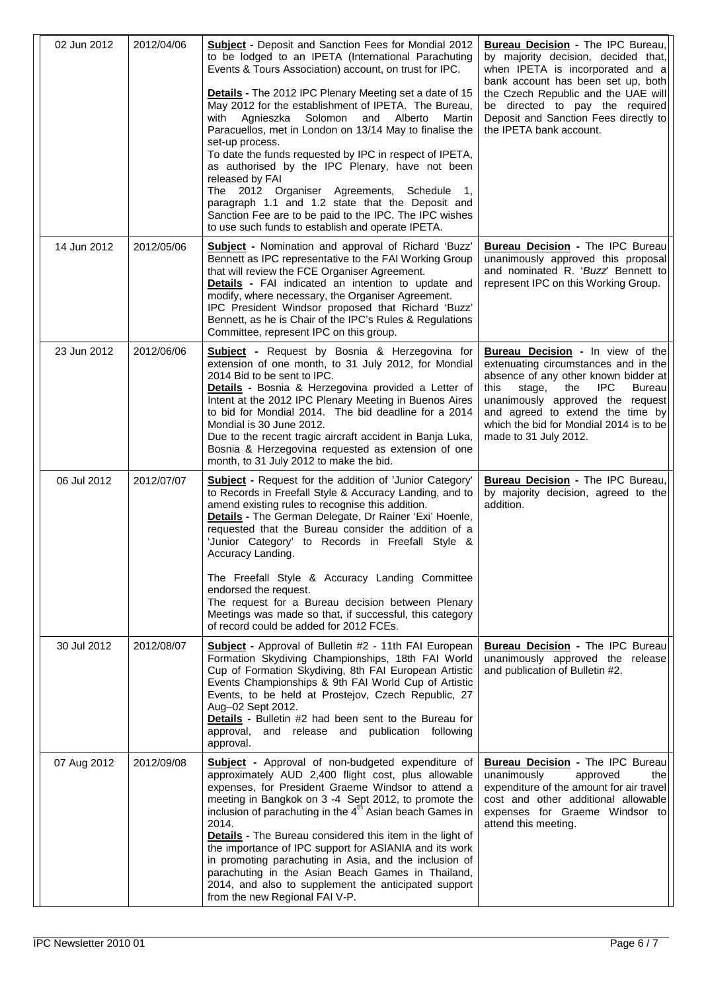| 02 Jun 2012 | 2012/04/06 | <b>Subject - Deposit and Sanction Fees for Mondial 2012</b><br>to be lodged to an IPETA (International Parachuting<br>Events & Tours Association) account, on trust for IPC.<br>Details - The 2012 IPC Plenary Meeting set a date of 15<br>May 2012 for the establishment of IPETA. The Bureau,<br>Solomon<br>and<br>Alberto<br>Martin<br>with<br>Agnieszka<br>Paracuellos, met in London on 13/14 May to finalise the<br>set-up process.<br>To date the funds requested by IPC in respect of IPETA,<br>as authorised by the IPC Plenary, have not been<br>released by FAI<br>The 2012 Organiser Agreements, Schedule<br>paragraph 1.1 and 1.2 state that the Deposit and<br>Sanction Fee are to be paid to the IPC. The IPC wishes<br>to use such funds to establish and operate IPETA. | <b>Bureau Decision - The IPC Bureau,</b><br>by majority decision, decided that,<br>when IPETA is incorporated and a<br>bank account has been set up, both<br>the Czech Republic and the UAE will<br>be directed to pay the required<br>Deposit and Sanction Fees directly to<br>the IPETA bank account.              |
|-------------|------------|------------------------------------------------------------------------------------------------------------------------------------------------------------------------------------------------------------------------------------------------------------------------------------------------------------------------------------------------------------------------------------------------------------------------------------------------------------------------------------------------------------------------------------------------------------------------------------------------------------------------------------------------------------------------------------------------------------------------------------------------------------------------------------------|----------------------------------------------------------------------------------------------------------------------------------------------------------------------------------------------------------------------------------------------------------------------------------------------------------------------|
| 14 Jun 2012 | 2012/05/06 | <b>Subject</b> - Nomination and approval of Richard 'Buzz'<br>Bennett as IPC representative to the FAI Working Group<br>that will review the FCE Organiser Agreement.<br>Details - FAI indicated an intention to update and<br>modify, where necessary, the Organiser Agreement.<br>IPC President Windsor proposed that Richard 'Buzz'<br>Bennett, as he is Chair of the IPC's Rules & Regulations<br>Committee, represent IPC on this group.                                                                                                                                                                                                                                                                                                                                            | <b>Bureau Decision - The IPC Bureau</b><br>unanimously approved this proposal<br>and nominated R. 'Buzz' Bennett to<br>represent IPC on this Working Group.                                                                                                                                                          |
| 23 Jun 2012 | 2012/06/06 | <b>Subject</b> - Request by Bosnia & Herzegovina for<br>extension of one month, to 31 July 2012, for Mondial<br>2014 Bid to be sent to IPC.<br>Details - Bosnia & Herzegovina provided a Letter of<br>Intent at the 2012 IPC Plenary Meeting in Buenos Aires<br>to bid for Mondial 2014. The bid deadline for a 2014<br>Mondial is 30 June 2012.<br>Due to the recent tragic aircraft accident in Banja Luka,<br>Bosnia & Herzegovina requested as extension of one<br>month, to 31 July 2012 to make the bid.                                                                                                                                                                                                                                                                           | <b>Bureau Decision - In view of the</b><br>extenuating circumstances and in the<br>absence of any other known bidder at<br>IPC<br>this<br>stage,<br>the<br><b>Bureau</b><br>unanimously approved the request<br>and agreed to extend the time by<br>which the bid for Mondial 2014 is to be<br>made to 31 July 2012. |
| 06 Jul 2012 | 2012/07/07 | <b>Subject</b> - Request for the addition of 'Junior Category'<br>to Records in Freefall Style & Accuracy Landing, and to<br>amend existing rules to recognise this addition.<br>Details - The German Delegate, Dr Rainer 'Exi' Hoenle,<br>requested that the Bureau consider the addition of a<br>'Junior Category' to Records in Freefall Style &<br>Accuracy Landing.<br>The Freefall Style & Accuracy Landing Committee<br>endorsed the request.<br>The request for a Bureau decision between Plenary<br>Meetings was made so that, if successful, this category<br>of record could be added for 2012 FCEs.                                                                                                                                                                          | <b>Bureau Decision - The IPC Bureau,</b><br>by majority decision, agreed to the<br>addition.                                                                                                                                                                                                                         |
| 30 Jul 2012 | 2012/08/07 | <b>Subject</b> - Approval of Bulletin #2 - 11th FAI European<br>Formation Skydiving Championships, 18th FAI World<br>Cup of Formation Skydiving, 8th FAI European Artistic<br>Events Championships & 9th FAI World Cup of Artistic<br>Events, to be held at Prostejov, Czech Republic, 27<br>Aug-02 Sept 2012.<br>Details - Bulletin #2 had been sent to the Bureau for<br>approval, and release and publication following<br>approval.                                                                                                                                                                                                                                                                                                                                                  | <b>Bureau Decision - The IPC Bureau</b><br>unanimously approved the release<br>and publication of Bulletin #2.                                                                                                                                                                                                       |
| 07 Aug 2012 | 2012/09/08 | <b>Subject</b> - Approval of non-budgeted expenditure of<br>approximately AUD 2,400 flight cost, plus allowable<br>expenses, for President Graeme Windsor to attend a<br>meeting in Bangkok on 3 -4 Sept 2012, to promote the<br>inclusion of parachuting in the 4 <sup>th</sup> Asian beach Games in<br>2014.<br><b>Details</b> - The Bureau considered this item in the light of<br>the importance of IPC support for ASIANIA and its work<br>in promoting parachuting in Asia, and the inclusion of<br>parachuting in the Asian Beach Games in Thailand,<br>2014, and also to supplement the anticipated support<br>from the new Regional FAI V-P.                                                                                                                                    | <b>Bureau Decision - The IPC Bureau</b><br>unanimously<br>approved<br>the<br>expenditure of the amount for air travel<br>cost and other additional allowable<br>expenses for Graeme Windsor to<br>attend this meeting.                                                                                               |